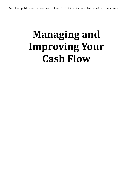Per the publisher's request, the full file is available after purchase.

## **Managing and Improving Your Cash Flow**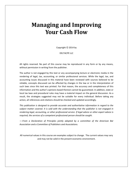## **Managing and Improving Your Cash Flow**

Copyright  $©$  2014 by

DELTACPE LLC

All rights reserved. No part of this course may be reproduced in any form or by any means, without permission in writing from the publisher.

The author is not engaged by this text or any accompanying lecture or electronic media in the rendering of legal, tax, accounting, or similar professional services. While the legal, tax, and accounting issues discussed in this material have been reviewed with sources believed to be reliable, concepts discussed can be affected by changes in the law or in the interpretation of such laws since this text was printed. For that reason, the accuracy and completeness of this information and the author's opinions based thereon cannot be guaranteed. In addition, state or local tax laws and procedural rules may have a material impact on the general discussion. As a result, the strategies suggested may not be suitable for every individual. Before taking any action, all references and citations should be checked and updated accordingly.

*This publication is designed to provide accurate and authoritative information in regard to the subject matter covered. It is sold with the understanding that the publisher is not engaged in rendering legal, accounting, or other professional service. If legal advice or other expert advice is required, the services of a competent professional person should be sought.*

*—-From a Declaration of Principles jointly adopted by a committee of the American Bar Association and a Committee of Publishers and Associations.*

All numerical values in this course are examples subject to change. The current values may vary and may not be valid in the present economic environment.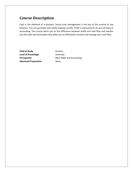## **Course Description**

Cash is the lifeblood of a business. Sound cash management is the key to the survival of any business. You can go broke even while making a profit. Profit is measured on an accrual basis in accounting. This course alerts you to the difference between profit and cash flow and teaches you the tools and techniques that allow you to effectively increase and manage your cash flow.

**Field of Study** Finance Level of Knowledge **Conservation** Overview **Advanced Preparation** None

**Prerequisite Basic Math and Accounting**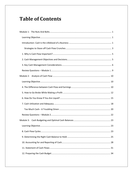## **Table of Contents**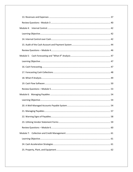| Module 4: |
|-----------|
|           |
|           |
|           |
|           |
|           |
|           |
|           |
|           |
|           |
|           |
|           |
|           |
|           |
|           |
|           |
|           |
|           |
|           |
| Module 7: |
|           |
|           |
|           |